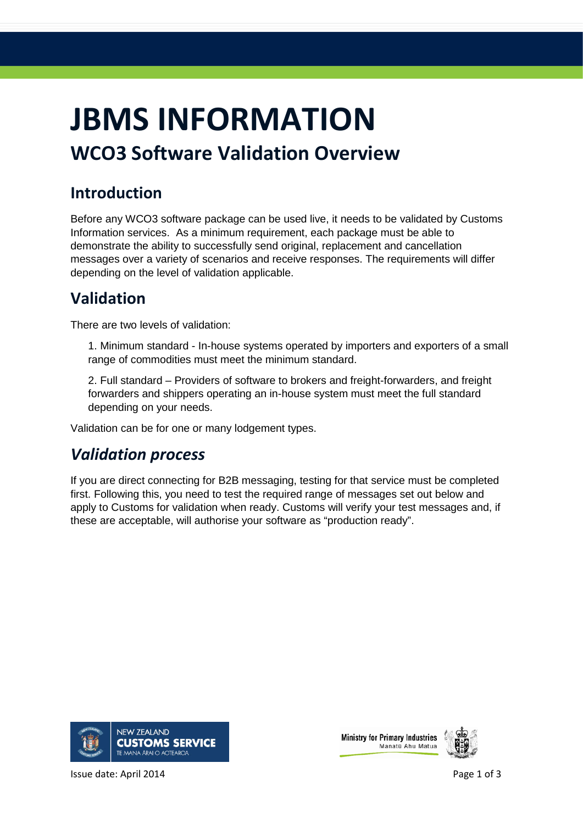# **JBMS INFORMATION**

## **WCO3 Software Validation Overview**

#### **Introduction**

Before any WCO3 software package can be used live, it needs to be validated by Customs Information services. As a minimum requirement, each package must be able to demonstrate the ability to successfully send original, replacement and cancellation messages over a variety of scenarios and receive responses. The requirements will differ depending on the level of validation applicable.

#### **Validation**

There are two levels of validation:

1. Minimum standard - In-house systems operated by importers and exporters of a small range of commodities must meet the minimum standard.

2. Full standard – Providers of software to brokers and freight-forwarders, and freight forwarders and shippers operating an in-house system must meet the full standard depending on your needs.

Validation can be for one or many lodgement types.

#### *Validation process*

If you are direct connecting for B2B messaging, testing for that service must be completed first. Following this, you need to test the required range of messages set out below and apply to Customs for validation when ready. Customs will verify your test messages and, if these are acceptable, will authorise your software as "production ready".







Issue date: April 2014 **Page 1 of 3** All 2014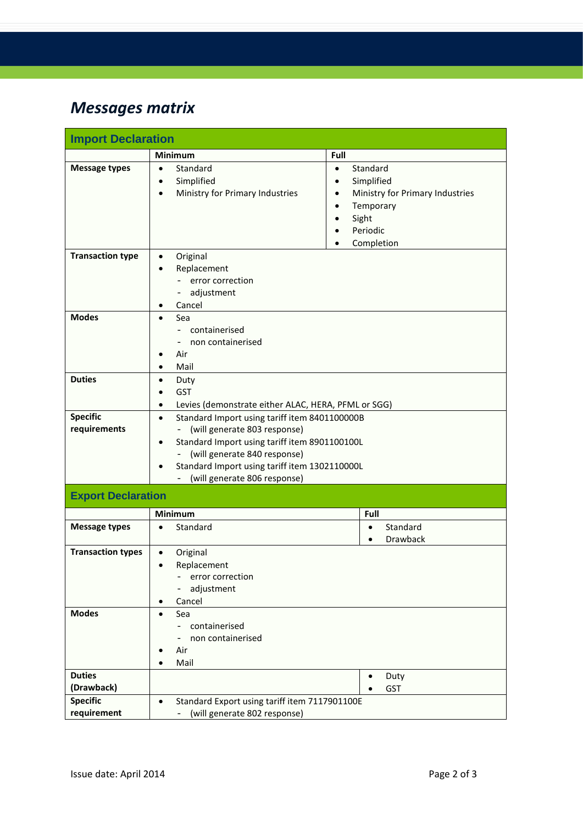## *Messages matrix*

| <b>Import Declaration</b>       |                                                                                                                                                                                                                                                                               |                                                                                                                                                                            |  |  |  |
|---------------------------------|-------------------------------------------------------------------------------------------------------------------------------------------------------------------------------------------------------------------------------------------------------------------------------|----------------------------------------------------------------------------------------------------------------------------------------------------------------------------|--|--|--|
|                                 | <b>Minimum</b>                                                                                                                                                                                                                                                                | Full                                                                                                                                                                       |  |  |  |
| <b>Message types</b>            | Standard<br>$\bullet$<br>Simplified<br>Ministry for Primary Industries                                                                                                                                                                                                        | Standard<br>$\bullet$<br>Simplified<br>Ministry for Primary Industries<br>$\bullet$<br>Temporary<br>$\bullet$<br>Sight<br>Periodic<br>$\bullet$<br>Completion<br>$\bullet$ |  |  |  |
| <b>Transaction type</b>         | Original<br>$\bullet$<br>Replacement<br>error correction<br>- adjustment<br>Cancel<br>٠                                                                                                                                                                                       |                                                                                                                                                                            |  |  |  |
| <b>Modes</b>                    | Sea<br>$\bullet$<br>- containerised<br>non containerised<br>Air<br>Mail<br>$\bullet$                                                                                                                                                                                          |                                                                                                                                                                            |  |  |  |
| <b>Duties</b>                   | Duty<br>$\bullet$<br><b>GST</b><br>Levies (demonstrate either ALAC, HERA, PFML or SGG)<br>$\bullet$                                                                                                                                                                           |                                                                                                                                                                            |  |  |  |
| <b>Specific</b><br>requirements | Standard Import using tariff item 8401100000B<br>$\bullet$<br>- (will generate 803 response)<br>Standard Import using tariff item 8901100100L<br>$\bullet$<br>- (will generate 840 response)<br>Standard Import using tariff item 1302110000L<br>(will generate 806 response) |                                                                                                                                                                            |  |  |  |
| <b>Export Declaration</b>       |                                                                                                                                                                                                                                                                               |                                                                                                                                                                            |  |  |  |
|                                 | <b>Minimum</b>                                                                                                                                                                                                                                                                | Full                                                                                                                                                                       |  |  |  |
| <b>Message types</b>            | Standard                                                                                                                                                                                                                                                                      | Standard<br>$\bullet$<br>Drawback                                                                                                                                          |  |  |  |
| <b>Transaction types</b>        | Original<br>$\bullet$<br>Replacement<br>- error correction<br>adjustment<br>Cancel<br>$\bullet$                                                                                                                                                                               |                                                                                                                                                                            |  |  |  |
| <b>Modes</b>                    | Sea<br>$\bullet$<br>- containerised<br>non containerised<br>Air<br>Mail                                                                                                                                                                                                       |                                                                                                                                                                            |  |  |  |
| <b>Duties</b><br>(Drawback)     |                                                                                                                                                                                                                                                                               | Duty<br><b>GST</b>                                                                                                                                                         |  |  |  |
| <b>Specific</b><br>requirement  | Standard Export using tariff item 7117901100E<br>$\bullet$<br>(will generate 802 response)                                                                                                                                                                                    |                                                                                                                                                                            |  |  |  |